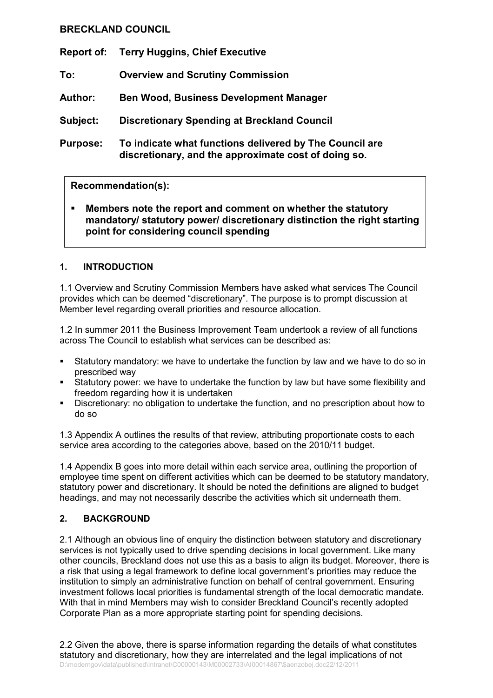# BRECKLAND COUNCIL

Report of: Terry Huggins, Chief Executive

- To: Overview and Scrutiny Commission
- Author: Ben Wood, Business Development Manager

Subject: Discretionary Spending at Breckland Council

Purpose: To indicate what functions delivered by The Council are discretionary, and the approximate cost of doing so.

# Recommendation(s):

Members note the report and comment on whether the statutory mandatory/ statutory power/ discretionary distinction the right starting point for considering council spending

# 1. INTRODUCTION

1.1 Overview and Scrutiny Commission Members have asked what services The Council provides which can be deemed "discretionary". The purpose is to prompt discussion at Member level regarding overall priorities and resource allocation.

1.2 In summer 2011 the Business Improvement Team undertook a review of all functions across The Council to establish what services can be described as:

- Statutory mandatory: we have to undertake the function by law and we have to do so in prescribed way
- § Statutory power: we have to undertake the function by law but have some flexibility and freedom regarding how it is undertaken
- § Discretionary: no obligation to undertake the function, and no prescription about how to do so

1.3 Appendix A outlines the results of that review, attributing proportionate costs to each service area according to the categories above, based on the 2010/11 budget.

1.4 Appendix B goes into more detail within each service area, outlining the proportion of employee time spent on different activities which can be deemed to be statutory mandatory, statutory power and discretionary. It should be noted the definitions are aligned to budget headings, and may not necessarily describe the activities which sit underneath them.

# 2. BACKGROUND

2.1 Although an obvious line of enquiry the distinction between statutory and discretionary services is not typically used to drive spending decisions in local government. Like many other councils, Breckland does not use this as a basis to align its budget. Moreover, there is a risk that using a legal framework to define local government's priorities may reduce the institution to simply an administrative function on behalf of central government. Ensuring investment follows local priorities is fundamental strength of the local democratic mandate. With that in mind Members may wish to consider Breckland Council's recently adopted Corporate Plan as a more appropriate starting point for spending decisions.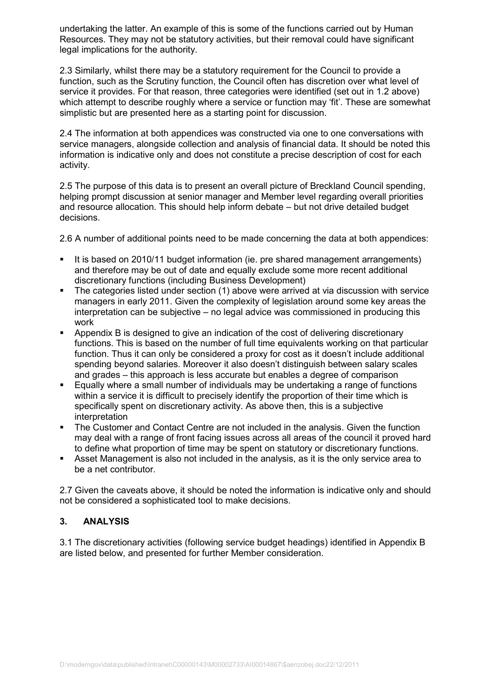undertaking the latter. An example of this is some of the functions carried out by Human Resources. They may not be statutory activities, but their removal could have significant legal implications for the authority.

2.3 Similarly, whilst there may be a statutory requirement for the Council to provide a function, such as the Scrutiny function, the Council often has discretion over what level of service it provides. For that reason, three categories were identified (set out in 1.2 above) which attempt to describe roughly where a service or function may 'fit'. These are somewhat simplistic but are presented here as a starting point for discussion.

2.4 The information at both appendices was constructed via one to one conversations with service managers, alongside collection and analysis of financial data. It should be noted this information is indicative only and does not constitute a precise description of cost for each activity.

2.5 The purpose of this data is to present an overall picture of Breckland Council spending, helping prompt discussion at senior manager and Member level regarding overall priorities and resource allocation. This should help inform debate – but not drive detailed budget decisions.

2.6 A number of additional points need to be made concerning the data at both appendices:

- It is based on 2010/11 budget information (ie. pre shared management arrangements) and therefore may be out of date and equally exclude some more recent additional discretionary functions (including Business Development)
- § The categories listed under section (1) above were arrived at via discussion with service managers in early 2011. Given the complexity of legislation around some key areas the interpretation can be subjective – no legal advice was commissioned in producing this work
- Appendix B is designed to give an indication of the cost of delivering discretionary functions. This is based on the number of full time equivalents working on that particular function. Thus it can only be considered a proxy for cost as it doesn't include additional spending beyond salaries. Moreover it also doesn't distinguish between salary scales and grades – this approach is less accurate but enables a degree of comparison
- Equally where a small number of individuals may be undertaking a range of functions within a service it is difficult to precisely identify the proportion of their time which is specifically spent on discretionary activity. As above then, this is a subjective interpretation
- The Customer and Contact Centre are not included in the analysis. Given the function may deal with a range of front facing issues across all areas of the council it proved hard to define what proportion of time may be spent on statutory or discretionary functions.
- Asset Management is also not included in the analysis, as it is the only service area to be a net contributor.

2.7 Given the caveats above, it should be noted the information is indicative only and should not be considered a sophisticated tool to make decisions.

# 3. ANALYSIS

3.1 The discretionary activities (following service budget headings) identified in Appendix B are listed below, and presented for further Member consideration.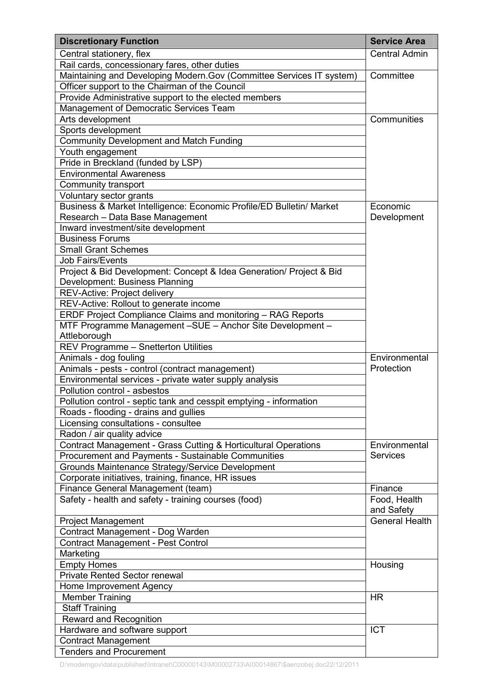| <b>Discretionary Function</b>                                                                           | <b>Service Area</b>        |
|---------------------------------------------------------------------------------------------------------|----------------------------|
| Central stationery, flex                                                                                | <b>Central Admin</b>       |
| Rail cards, concessionary fares, other duties                                                           |                            |
| Maintaining and Developing Modern. Gov (Committee Services IT system)                                   | Committee                  |
| Officer support to the Chairman of the Council                                                          |                            |
| Provide Administrative support to the elected members                                                   |                            |
| Management of Democratic Services Team                                                                  |                            |
| Arts development                                                                                        | Communities                |
| Sports development                                                                                      |                            |
| <b>Community Development and Match Funding</b>                                                          |                            |
| Youth engagement                                                                                        |                            |
| Pride in Breckland (funded by LSP)                                                                      |                            |
| <b>Environmental Awareness</b>                                                                          |                            |
| Community transport                                                                                     |                            |
| Voluntary sector grants                                                                                 |                            |
| Business & Market Intelligence: Economic Profile/ED Bulletin/ Market<br>Research - Data Base Management | Economic<br>Development    |
| Inward investment/site development                                                                      |                            |
| <b>Business Forums</b>                                                                                  |                            |
| <b>Small Grant Schemes</b>                                                                              |                            |
| <b>Job Fairs/Events</b>                                                                                 |                            |
| Project & Bid Development: Concept & Idea Generation/ Project & Bid                                     |                            |
| Development: Business Planning                                                                          |                            |
| REV-Active: Project delivery                                                                            |                            |
| REV-Active: Rollout to generate income                                                                  |                            |
| ERDF Project Compliance Claims and monitoring - RAG Reports                                             |                            |
| MTF Programme Management -SUE - Anchor Site Development -                                               |                            |
| Attleborough                                                                                            |                            |
| REV Programme - Snetterton Utilities                                                                    |                            |
| Animals - dog fouling                                                                                   | Environmental              |
| Animals - pests - control (contract management)                                                         | Protection                 |
| Environmental services - private water supply analysis                                                  |                            |
| Pollution control - asbestos                                                                            |                            |
| Pollution control - septic tank and cesspit emptying - information                                      |                            |
| Roads - flooding - drains and gullies                                                                   |                            |
| Licensing consultations - consultee                                                                     |                            |
| Radon / air quality advice                                                                              |                            |
| Contract Management - Grass Cutting & Horticultural Operations                                          | Environmental              |
| Procurement and Payments - Sustainable Communities                                                      | <b>Services</b>            |
| Grounds Maintenance Strategy/Service Development                                                        |                            |
| Corporate initiatives, training, finance, HR issues                                                     |                            |
| Finance General Management (team)                                                                       | Finance                    |
| Safety - health and safety - training courses (food)                                                    | Food, Health<br>and Safety |
| <b>Project Management</b>                                                                               | General Health             |
| Contract Management - Dog Warden                                                                        |                            |
| <b>Contract Management - Pest Control</b>                                                               |                            |
| Marketing                                                                                               |                            |
| <b>Empty Homes</b>                                                                                      | Housing                    |
| <b>Private Rented Sector renewal</b>                                                                    |                            |
| Home Improvement Agency                                                                                 |                            |
| <b>Member Training</b>                                                                                  | <b>HR</b>                  |
| <b>Staff Training</b>                                                                                   |                            |
| Reward and Recognition                                                                                  |                            |
| Hardware and software support                                                                           | <b>ICT</b>                 |
| <b>Contract Management</b>                                                                              |                            |
| <b>Tenders and Procurement</b>                                                                          |                            |
|                                                                                                         |                            |

D:\moderngov\data\published\Intranet\C00000143\M00002733\AI00014867\\$aenzobej.doc22/12/2011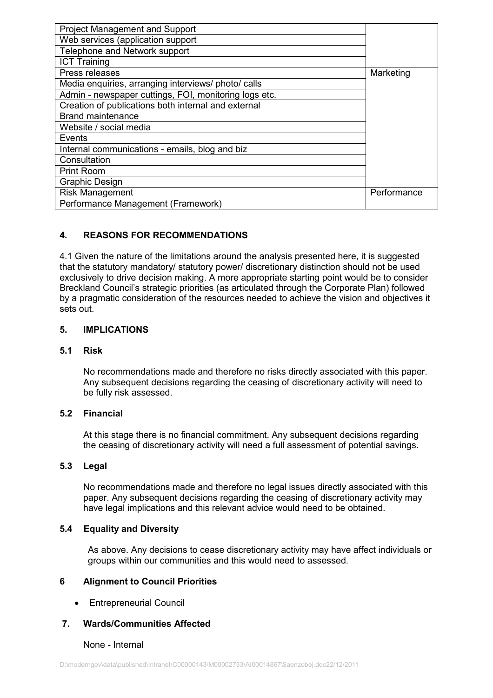| <b>Project Management and Support</b>                 |             |
|-------------------------------------------------------|-------------|
| Web services (application support                     |             |
| Telephone and Network support                         |             |
| <b>ICT Training</b>                                   |             |
| Press releases                                        | Marketing   |
| Media enquiries, arranging interviews/ photo/ calls   |             |
| Admin - newspaper cuttings, FOI, monitoring logs etc. |             |
| Creation of publications both internal and external   |             |
| <b>Brand maintenance</b>                              |             |
| Website / social media                                |             |
| Events                                                |             |
| Internal communications - emails, blog and biz        |             |
| Consultation                                          |             |
| <b>Print Room</b>                                     |             |
| <b>Graphic Design</b>                                 |             |
| <b>Risk Management</b>                                | Performance |
| Performance Management (Framework)                    |             |

# 4. REASONS FOR RECOMMENDATIONS

4.1 Given the nature of the limitations around the analysis presented here, it is suggested that the statutory mandatory/ statutory power/ discretionary distinction should not be used exclusively to drive decision making. A more appropriate starting point would be to consider Breckland Council's strategic priorities (as articulated through the Corporate Plan) followed by a pragmatic consideration of the resources needed to achieve the vision and objectives it sets out.

#### 5. IMPLICATIONS

#### 5.1 Risk

No recommendations made and therefore no risks directly associated with this paper. Any subsequent decisions regarding the ceasing of discretionary activity will need to be fully risk assessed.

## 5.2 Financial

At this stage there is no financial commitment. Any subsequent decisions regarding the ceasing of discretionary activity will need a full assessment of potential savings.

#### 5.3 Legal

No recommendations made and therefore no legal issues directly associated with this paper. Any subsequent decisions regarding the ceasing of discretionary activity may have legal implications and this relevant advice would need to be obtained.

#### 5.4 Equality and Diversity

As above. Any decisions to cease discretionary activity may have affect individuals or groups within our communities and this would need to assessed.

## 6 Alignment to Council Priorities

• Entrepreneurial Council

## 7. Wards/Communities Affected

#### None - Internal